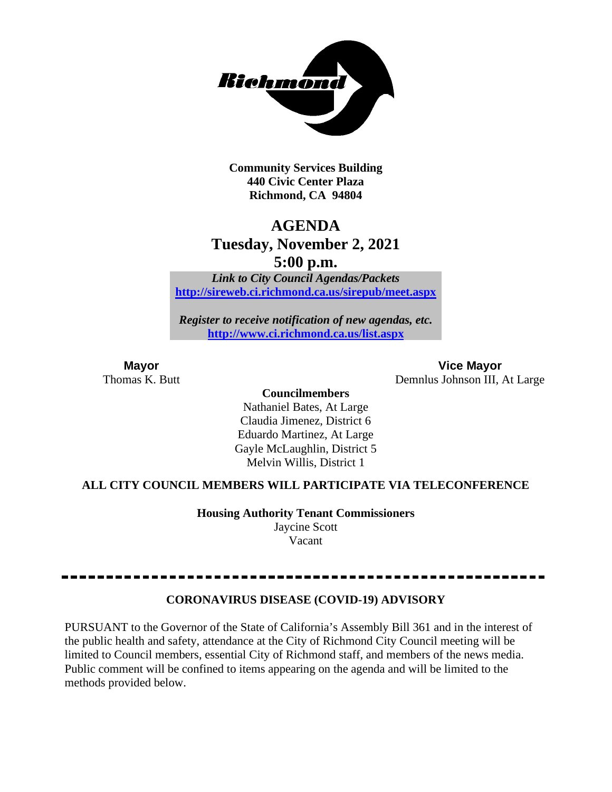

**Community Services Building 440 Civic Center Plaza Richmond, CA 94804**

# **AGENDA Tuesday, November 2, 2021 5:00 p.m.**

*Link to City Council Agendas/Packets* **<http://sireweb.ci.richmond.ca.us/sirepub/meet.aspx>**

*Register to receive notification of new agendas, etc.* **<http://www.ci.richmond.ca.us/list.aspx>**

**Mayor Vice Mayor**<br>Thomas K. Butt **Conserverse Conserverse Conserverse Conserverse Conserverse Conserverse Conserverse Conserverse Conserverse Conserverse Conserverse Conserverse Conserverse Conserverse Conserverse Conse** Demnlus Johnson III, At Large

#### **Councilmembers**

Nathaniel Bates, At Large Claudia Jimenez, District 6 Eduardo Martinez, At Large Gayle McLaughlin, District 5 Melvin Willis, District 1

#### **ALL CITY COUNCIL MEMBERS WILL PARTICIPATE VIA TELECONFERENCE**

**Housing Authority Tenant Commissioners** Jaycine Scott Vacant

#### **CORONAVIRUS DISEASE (COVID-19) ADVISORY**

PURSUANT to the Governor of the State of California's Assembly Bill 361 and in the interest of the public health and safety, attendance at the City of Richmond City Council meeting will be limited to Council members, essential City of Richmond staff, and members of the news media. Public comment will be confined to items appearing on the agenda and will be limited to the methods provided below.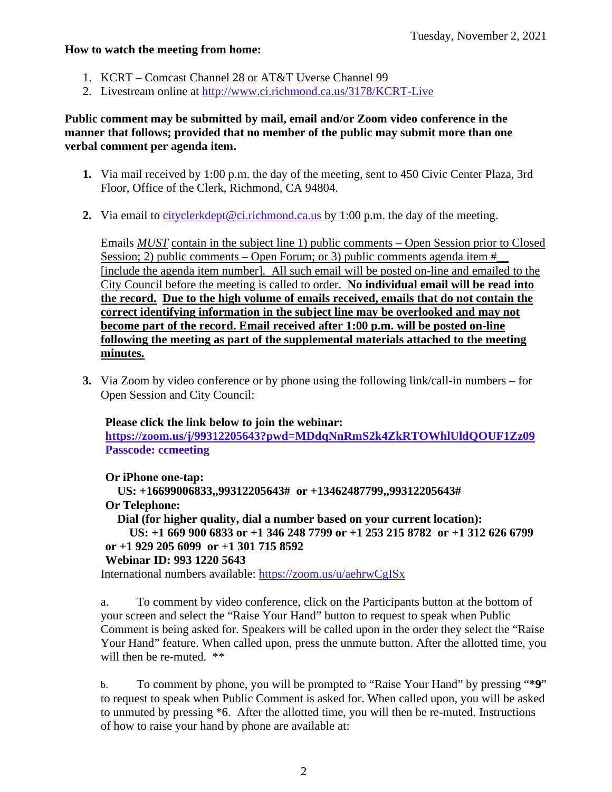#### **How to watch the meeting from home:**

- 1. KCRT Comcast Channel 28 or AT&T Uverse Channel 99
- 2. Livestream online at<http://www.ci.richmond.ca.us/3178/KCRT-Live>

#### **Public comment may be submitted by mail, email and/or Zoom video conference in the manner that follows; provided that no member of the public may submit more than one verbal comment per agenda item.**

- **1.** Via mail received by 1:00 p.m. the day of the meeting, sent to 450 Civic Center Plaza, 3rd Floor, Office of the Clerk, Richmond, CA 94804.
- **2.** Via email to [cityclerkdept@ci.richmond.ca.us](mailto:cityclerkdept@ci.richmond.ca.us) by 1:00 p.m. the day of the meeting.

Emails *MUST* contain in the subject line 1) public comments – Open Session prior to Closed Session; 2) public comments – Open Forum; or 3) public comments agenda item  $#$ [include the agenda item number]. All such email will be posted on-line and emailed to the City Council before the meeting is called to order. **No individual email will be read into the record. Due to the high volume of emails received, emails that do not contain the correct identifying information in the subject line may be overlooked and may not become part of the record. Email received after 1:00 p.m. will be posted on-line following the meeting as part of the supplemental materials attached to the meeting minutes.**

**3.** Via Zoom by video conference or by phone using the following link/call-in numbers – for Open Session and City Council:

#### **Please click the link below to join the webinar:**

**<https://zoom.us/j/99312205643?pwd=MDdqNnRmS2k4ZkRTOWhlUldQOUF1Zz09> Passcode: ccmeeting**

**Or iPhone one-tap:**

**US: +16699006833,,99312205643# or +13462487799,,99312205643#**

#### **Or Telephone:**

**Dial (for higher quality, dial a number based on your current location):**

```
US: +1 669 900 6833 or +1 346 248 7799 or +1 253 215 8782 or +1 312 626 6799
or +1 929 205 6099 or +1 301 715 8592
```
#### **Webinar ID: 993 1220 5643**

International numbers available: <https://zoom.us/u/aehrwCgISx>

a. To comment by video conference, click on the Participants button at the bottom of your screen and select the "Raise Your Hand" button to request to speak when Public Comment is being asked for. Speakers will be called upon in the order they select the "Raise Your Hand" feature. When called upon, press the unmute button. After the allotted time, you will then be re-muted.  $**$ 

b. To comment by phone, you will be prompted to "Raise Your Hand" by pressing "**\*9**" to request to speak when Public Comment is asked for. When called upon, you will be asked to unmuted by pressing \*6. After the allotted time, you will then be re-muted. Instructions of how to raise your hand by phone are available at: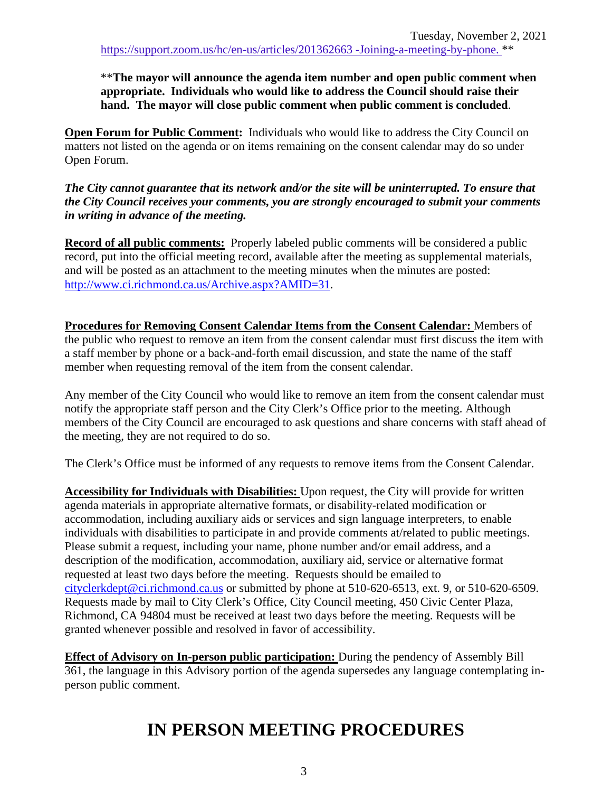#### \*\***The mayor will announce the agenda item number and open public comment when appropriate. Individuals who would like to address the Council should raise their hand. The mayor will close public comment when public comment is concluded**.

**Open Forum for Public Comment:** Individuals who would like to address the City Council on matters not listed on the agenda or on items remaining on the consent calendar may do so under Open Forum.

#### *The City cannot guarantee that its network and/or the site will be uninterrupted. To ensure that the City Council receives your comments, you are strongly encouraged to submit your comments in writing in advance of the meeting.*

**Record of all public comments:** Properly labeled public comments will be considered a public record, put into the official meeting record, available after the meeting as supplemental materials, and will be posted as an attachment to the meeting minutes when the minutes are posted: [http://www.ci.richmond.ca.us/Archive.aspx?AMID=31.](http://www.ci.richmond.ca.us/Archive.aspx?AMID=31)

**Procedures for Removing Consent Calendar Items from the Consent Calendar:** Members of the public who request to remove an item from the consent calendar must first discuss the item with a staff member by phone or a back-and-forth email discussion, and state the name of the staff member when requesting removal of the item from the consent calendar.

Any member of the City Council who would like to remove an item from the consent calendar must notify the appropriate staff person and the City Clerk's Office prior to the meeting. Although members of the City Council are encouraged to ask questions and share concerns with staff ahead of the meeting, they are not required to do so.

The Clerk's Office must be informed of any requests to remove items from the Consent Calendar.

**Accessibility for Individuals with Disabilities:** Upon request, the City will provide for written agenda materials in appropriate alternative formats, or disability-related modification or accommodation, including auxiliary aids or services and sign language interpreters, to enable individuals with disabilities to participate in and provide comments at/related to public meetings. Please submit a request, including your name, phone number and/or email address, and a description of the modification, accommodation, auxiliary aid, service or alternative format requested at least two days before the meeting. Requests should be emailed to [cityclerkdept@ci.richmond.ca.us](mailto:cityclerkdept@ci.richmond.ca.us) or submitted by phone at 510-620-6513, ext. 9, or 510-620-6509. Requests made by mail to City Clerk's Office, City Council meeting, 450 Civic Center Plaza, Richmond, CA 94804 must be received at least two days before the meeting. Requests will be granted whenever possible and resolved in favor of accessibility.

**Effect of Advisory on In-person public participation:** During the pendency of Assembly Bill 361, the language in this Advisory portion of the agenda supersedes any language contemplating inperson public comment.

# **IN PERSON MEETING PROCEDURES**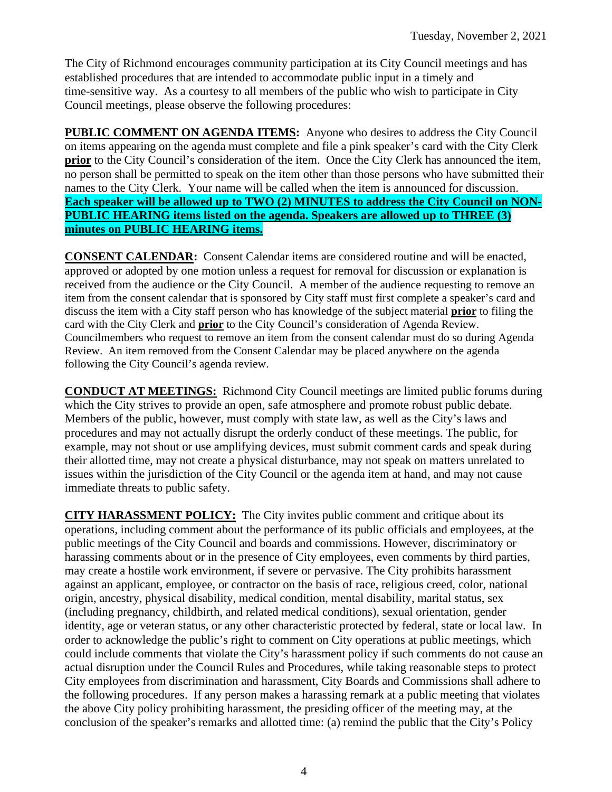The City of Richmond encourages community participation at its City Council meetings and has established procedures that are intended to accommodate public input in a timely and time-sensitive way. As a courtesy to all members of the public who wish to participate in City Council meetings, please observe the following procedures:

**PUBLIC COMMENT ON AGENDA ITEMS:** Anyone who desires to address the City Council on items appearing on the agenda must complete and file a pink speaker's card with the City Clerk **prior** to the City Council's consideration of the item. Once the City Clerk has announced the item, no person shall be permitted to speak on the item other than those persons who have submitted their names to the City Clerk. Your name will be called when the item is announced for discussion. **Each speaker will be allowed up to TWO (2) MINUTES to address the City Council on NON-PUBLIC HEARING items listed on the agenda. Speakers are allowed up to THREE (3) minutes on PUBLIC HEARING items.**

**CONSENT CALENDAR:** Consent Calendar items are considered routine and will be enacted, approved or adopted by one motion unless a request for removal for discussion or explanation is received from the audience or the City Council. A member of the audience requesting to remove an item from the consent calendar that is sponsored by City staff must first complete a speaker's card and discuss the item with a City staff person who has knowledge of the subject material **prior** to filing the card with the City Clerk and **prior** to the City Council's consideration of Agenda Review. Councilmembers who request to remove an item from the consent calendar must do so during Agenda Review. An item removed from the Consent Calendar may be placed anywhere on the agenda following the City Council's agenda review.

**CONDUCT AT MEETINGS:** Richmond City Council meetings are limited public forums during which the City strives to provide an open, safe atmosphere and promote robust public debate. Members of the public, however, must comply with state law, as well as the City's laws and procedures and may not actually disrupt the orderly conduct of these meetings. The public, for example, may not shout or use amplifying devices, must submit comment cards and speak during their allotted time, may not create a physical disturbance, may not speak on matters unrelated to issues within the jurisdiction of the City Council or the agenda item at hand, and may not cause immediate threats to public safety.

**CITY HARASSMENT POLICY:** The City invites public comment and critique about its operations, including comment about the performance of its public officials and employees, at the public meetings of the City Council and boards and commissions. However, discriminatory or harassing comments about or in the presence of City employees, even comments by third parties, may create a hostile work environment, if severe or pervasive. The City prohibits harassment against an applicant, employee, or contractor on the basis of race, religious creed, color, national origin, ancestry, physical disability, medical condition, mental disability, marital status, sex (including pregnancy, childbirth, and related medical conditions), sexual orientation, gender identity, age or veteran status, or any other characteristic protected by federal, state or local law. In order to acknowledge the public's right to comment on City operations at public meetings, which could include comments that violate the City's harassment policy if such comments do not cause an actual disruption under the Council Rules and Procedures, while taking reasonable steps to protect City employees from discrimination and harassment, City Boards and Commissions shall adhere to the following procedures. If any person makes a harassing remark at a public meeting that violates the above City policy prohibiting harassment, the presiding officer of the meeting may, at the conclusion of the speaker's remarks and allotted time: (a) remind the public that the City's Policy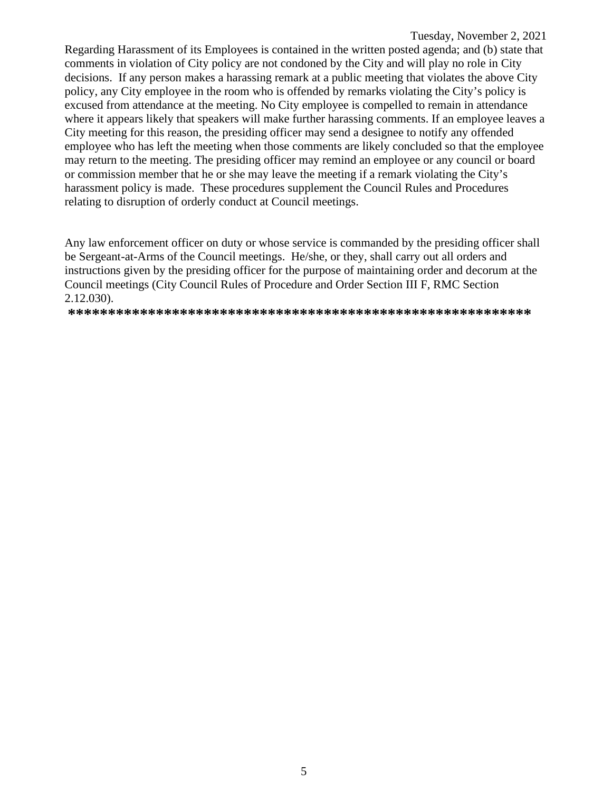Regarding Harassment of its Employees is contained in the written posted agenda; and (b) state that comments in violation of City policy are not condoned by the City and will play no role in City decisions. If any person makes a harassing remark at a public meeting that violates the above City policy, any City employee in the room who is offended by remarks violating the City's policy is excused from attendance at the meeting. No City employee is compelled to remain in attendance where it appears likely that speakers will make further harassing comments. If an employee leaves a City meeting for this reason, the presiding officer may send a designee to notify any offended employee who has left the meeting when those comments are likely concluded so that the employee may return to the meeting. The presiding officer may remind an employee or any council or board or commission member that he or she may leave the meeting if a remark violating the City's harassment policy is made. These procedures supplement the Council Rules and Procedures relating to disruption of orderly conduct at Council meetings.

Any law enforcement officer on duty or whose service is commanded by the presiding officer shall be Sergeant-at-Arms of the Council meetings. He/she, or they, shall carry out all orders and instructions given by the presiding officer for the purpose of maintaining order and decorum at the Council meetings (City Council Rules of Procedure and Order Section III F, RMC Section 2.12.030).

**\*\*\*\*\*\*\*\*\*\*\*\*\*\*\*\*\*\*\*\*\*\*\*\*\*\*\*\*\*\*\*\*\*\*\*\*\*\*\*\*\*\*\*\*\*\*\*\*\*\*\*\*\*\*\*\*\*\***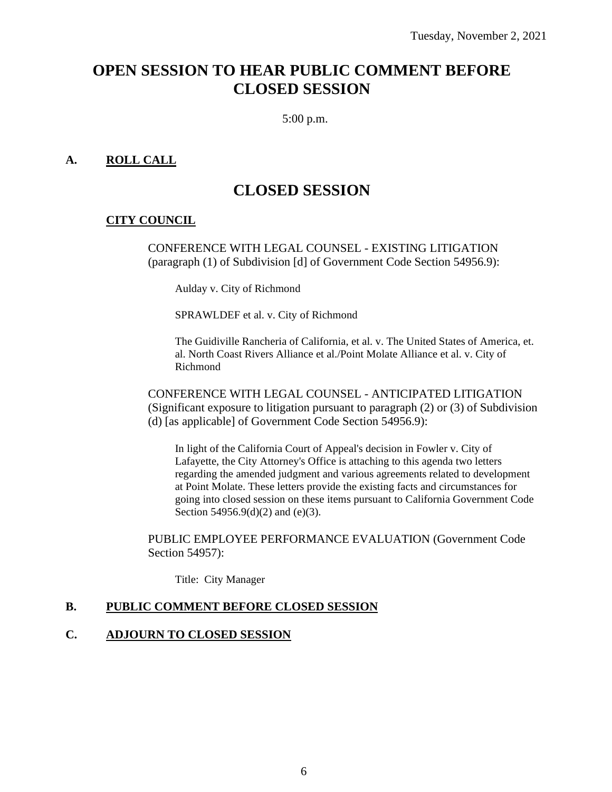# **OPEN SESSION TO HEAR PUBLIC COMMENT BEFORE CLOSED SESSION**

5:00 p.m.

#### **A. ROLL CALL**

# **CLOSED SESSION**

#### **CITY COUNCIL**

CONFERENCE WITH LEGAL COUNSEL - EXISTING LITIGATION (paragraph (1) of Subdivision [d] of Government Code Section 54956.9):

Aulday v. City of Richmond

SPRAWLDEF et al. v. City of Richmond

The Guidiville Rancheria of California, et al. v. The United States of America, et. al. North Coast Rivers Alliance et al./Point Molate Alliance et al. v. City of Richmond

CONFERENCE WITH LEGAL COUNSEL - ANTICIPATED LITIGATION (Significant exposure to litigation pursuant to paragraph (2) or (3) of Subdivision (d) [as applicable] of Government Code Section 54956.9):

In light of the California Court of Appeal's decision in Fowler v. City of Lafayette, the City Attorney's Office is attaching to this agenda two letters regarding the amended judgment and various agreements related to development at Point Molate. These letters provide the existing facts and circumstances for going into closed session on these items pursuant to California Government Code Section 54956.9(d)(2) and (e)(3).

PUBLIC EMPLOYEE PERFORMANCE EVALUATION (Government Code Section 54957):

Title: City Manager

#### **B. PUBLIC COMMENT BEFORE CLOSED SESSION**

#### **C. ADJOURN TO CLOSED SESSION**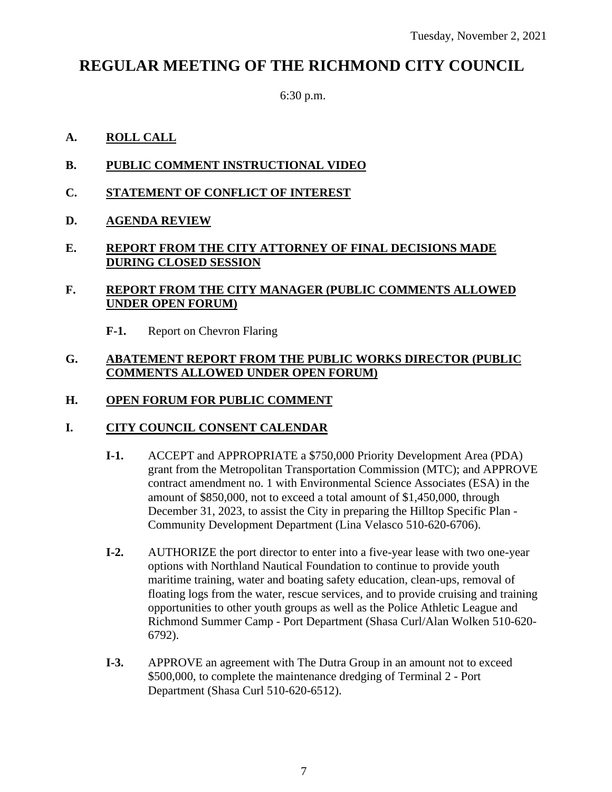# **REGULAR MEETING OF THE RICHMOND CITY COUNCIL**

6:30 p.m.

# **A. ROLL CALL**

# **B. PUBLIC COMMENT INSTRUCTIONAL VIDEO**

**C. STATEMENT OF CONFLICT OF INTEREST**

# **D. AGENDA REVIEW**

# **E. REPORT FROM THE CITY ATTORNEY OF FINAL DECISIONS MADE DURING CLOSED SESSION**

### **F. REPORT FROM THE CITY MANAGER (PUBLIC COMMENTS ALLOWED UNDER OPEN FORUM)**

**F-1.** Report on Chevron Flaring

#### **G. ABATEMENT REPORT FROM THE PUBLIC WORKS DIRECTOR (PUBLIC COMMENTS ALLOWED UNDER OPEN FORUM)**

# **H. OPEN FORUM FOR PUBLIC COMMENT**

# **I. CITY COUNCIL CONSENT CALENDAR**

- **I-1.** ACCEPT and APPROPRIATE a \$750,000 Priority Development Area (PDA) grant from the Metropolitan Transportation Commission (MTC); and APPROVE contract amendment no. 1 with Environmental Science Associates (ESA) in the amount of \$850,000, not to exceed a total amount of \$1,450,000, through December 31, 2023, to assist the City in preparing the Hilltop Specific Plan - Community Development Department (Lina Velasco 510-620-6706).
- **I-2.** AUTHORIZE the port director to enter into a five-year lease with two one-year options with Northland Nautical Foundation to continue to provide youth maritime training, water and boating safety education, clean-ups, removal of floating logs from the water, rescue services, and to provide cruising and training opportunities to other youth groups as well as the Police Athletic League and Richmond Summer Camp - Port Department (Shasa Curl/Alan Wolken 510-620- 6792).
- **I-3.** APPROVE an agreement with The Dutra Group in an amount not to exceed \$500,000, to complete the maintenance dredging of Terminal 2 - Port Department (Shasa Curl 510-620-6512).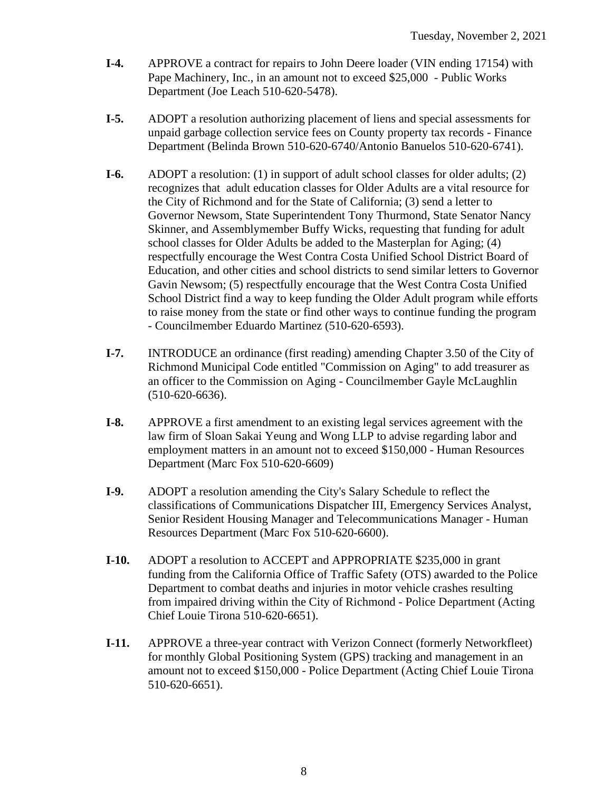- **I-4.** APPROVE a contract for repairs to John Deere loader (VIN ending 17154) with Pape Machinery, Inc., in an amount not to exceed \$25,000 - Public Works Department (Joe Leach 510-620-5478).
- **I-5.** ADOPT a resolution authorizing placement of liens and special assessments for unpaid garbage collection service fees on County property tax records - Finance Department (Belinda Brown 510-620-6740/Antonio Banuelos 510-620-6741).
- **I-6.** ADOPT a resolution: (1) in support of adult school classes for older adults; (2) recognizes that adult education classes for Older Adults are a vital resource for the City of Richmond and for the State of California; (3) send a letter to Governor Newsom, State Superintendent Tony Thurmond, State Senator Nancy Skinner, and Assemblymember Buffy Wicks, requesting that funding for adult school classes for Older Adults be added to the Masterplan for Aging; (4) respectfully encourage the West Contra Costa Unified School District Board of Education, and other cities and school districts to send similar letters to Governor Gavin Newsom; (5) respectfully encourage that the West Contra Costa Unified School District find a way to keep funding the Older Adult program while efforts to raise money from the state or find other ways to continue funding the program - Councilmember Eduardo Martinez (510-620-6593).
- **I-7.** INTRODUCE an ordinance (first reading) amending Chapter 3.50 of the City of Richmond Municipal Code entitled "Commission on Aging" to add treasurer as an officer to the Commission on Aging - Councilmember Gayle McLaughlin (510-620-6636).
- **I-8.** APPROVE a first amendment to an existing legal services agreement with the law firm of Sloan Sakai Yeung and Wong LLP to advise regarding labor and employment matters in an amount not to exceed \$150,000 - Human Resources Department (Marc Fox 510-620-6609)
- **I-9.** ADOPT a resolution amending the City's Salary Schedule to reflect the classifications of Communications Dispatcher III, Emergency Services Analyst, Senior Resident Housing Manager and Telecommunications Manager - Human Resources Department (Marc Fox 510-620-6600).
- **I-10.** ADOPT a resolution to ACCEPT and APPROPRIATE \$235,000 in grant funding from the California Office of Traffic Safety (OTS) awarded to the Police Department to combat deaths and injuries in motor vehicle crashes resulting from impaired driving within the City of Richmond - Police Department (Acting Chief Louie Tirona 510-620-6651).
- **I-11.** APPROVE a three-year contract with Verizon Connect (formerly Networkfleet) for monthly Global Positioning System (GPS) tracking and management in an amount not to exceed \$150,000 - Police Department (Acting Chief Louie Tirona 510-620-6651).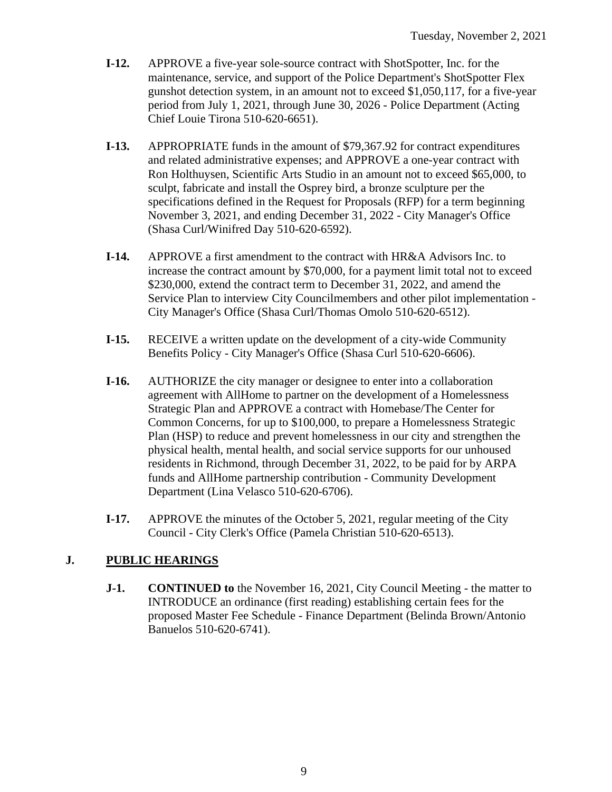- **I-12.** APPROVE a five-year sole-source contract with ShotSpotter, Inc. for the maintenance, service, and support of the Police Department's ShotSpotter Flex gunshot detection system, in an amount not to exceed \$1,050,117, for a five-year period from July 1, 2021, through June 30, 2026 - Police Department (Acting Chief Louie Tirona 510-620-6651).
- **I-13.** APPROPRIATE funds in the amount of \$79,367.92 for contract expenditures and related administrative expenses; and APPROVE a one-year contract with Ron Holthuysen, Scientific Arts Studio in an amount not to exceed \$65,000, to sculpt, fabricate and install the Osprey bird, a bronze sculpture per the specifications defined in the Request for Proposals (RFP) for a term beginning November 3, 2021, and ending December 31, 2022 - City Manager's Office (Shasa Curl/Winifred Day 510-620-6592).
- **I-14.** APPROVE a first amendment to the contract with HR&A Advisors Inc. to increase the contract amount by \$70,000, for a payment limit total not to exceed \$230,000, extend the contract term to December 31, 2022, and amend the Service Plan to interview City Councilmembers and other pilot implementation - City Manager's Office (Shasa Curl/Thomas Omolo 510-620-6512).
- **I-15.** RECEIVE a written update on the development of a city-wide Community Benefits Policy - City Manager's Office (Shasa Curl 510-620-6606).
- **I-16.** AUTHORIZE the city manager or designee to enter into a collaboration agreement with AllHome to partner on the development of a Homelessness Strategic Plan and APPROVE a contract with Homebase/The Center for Common Concerns, for up to \$100,000, to prepare a Homelessness Strategic Plan (HSP) to reduce and prevent homelessness in our city and strengthen the physical health, mental health, and social service supports for our unhoused residents in Richmond, through December 31, 2022, to be paid for by ARPA funds and AllHome partnership contribution - Community Development Department (Lina Velasco 510-620-6706).
- **I-17.** APPROVE the minutes of the October 5, 2021, regular meeting of the City Council - City Clerk's Office (Pamela Christian 510-620-6513).

# **J. PUBLIC HEARINGS**

**J-1. CONTINUED to** the November 16, 2021, City Council Meeting - the matter to INTRODUCE an ordinance (first reading) establishing certain fees for the proposed Master Fee Schedule - Finance Department (Belinda Brown/Antonio Banuelos 510-620-6741).